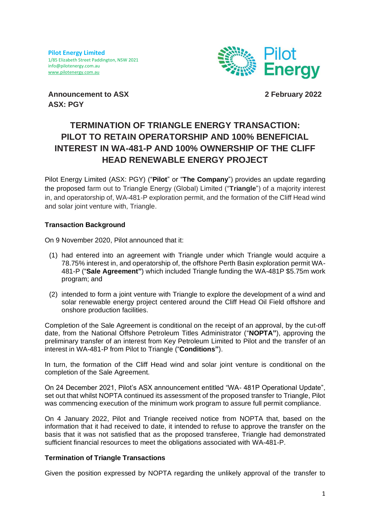

**Announcement to ASX ASX: PGY**

**2 February 2022**

# **TERMINATION OF TRIANGLE ENERGY TRANSACTION: PILOT TO RETAIN OPERATORSHIP AND 100% BENEFICIAL INTEREST IN WA-481-P AND 100% OWNERSHIP OF THE CLIFF HEAD RENEWABLE ENERGY PROJECT**

Pilot Energy Limited (ASX: PGY) ("**Pilot**" or "**The Company**") provides an update regarding the proposed farm out to Triangle Energy (Global) Limited ("**Triangle**") of a majority interest in, and operatorship of, WA-481-P exploration permit, and the formation of the Cliff Head wind and solar joint venture with, Triangle.

# **Transaction Background**

On 9 November 2020, Pilot announced that it:

- (1) had entered into an agreement with Triangle under which Triangle would acquire a 78.75% interest in, and operatorship of, the offshore Perth Basin exploration permit WA-481-P ("**Sale Agreement"**) which included Triangle funding the WA-481P \$5.75m work program; and
- (2) intended to form a joint venture with Triangle to explore the development of a wind and solar renewable energy project centered around the Cliff Head Oil Field offshore and onshore production facilities.

Completion of the Sale Agreement is conditional on the receipt of an approval, by the cut-off date, from the National Offshore Petroleum Titles Administrator ("**NOPTA"**), approving the preliminary transfer of an interest from Key Petroleum Limited to Pilot and the transfer of an interest in WA-481-P from Pilot to Triangle ("**Conditions"**).

In turn, the formation of the Cliff Head wind and solar joint venture is conditional on the completion of the Sale Agreement.

On 24 December 2021, Pilot's ASX announcement entitled "WA- 481P Operational Update", set out that whilst NOPTA continued its assessment of the proposed transfer to Triangle, Pilot was commencing execution of the minimum work program to assure full permit compliance.

On 4 January 2022, Pilot and Triangle received notice from NOPTA that, based on the information that it had received to date, it intended to refuse to approve the transfer on the basis that it was not satisfied that as the proposed transferee, Triangle had demonstrated sufficient financial resources to meet the obligations associated with WA-481-P.

# **Termination of Triangle Transactions**

Given the position expressed by NOPTA regarding the unlikely approval of the transfer to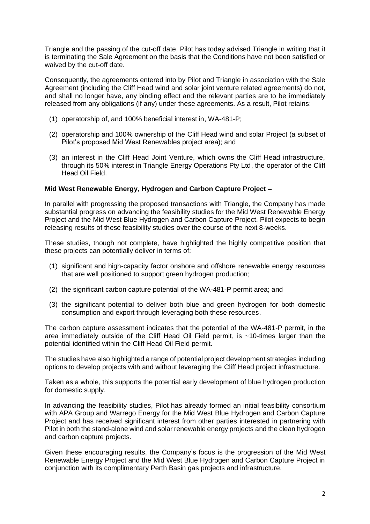Triangle and the passing of the cut-off date, Pilot has today advised Triangle in writing that it is terminating the Sale Agreement on the basis that the Conditions have not been satisfied or waived by the cut-off date.

Consequently, the agreements entered into by Pilot and Triangle in association with the Sale Agreement (including the Cliff Head wind and solar joint venture related agreements) do not, and shall no longer have, any binding effect and the relevant parties are to be immediately released from any obligations (if any) under these agreements. As a result, Pilot retains:

- (1) operatorship of, and 100% beneficial interest in, WA-481-P;
- (2) operatorship and 100% ownership of the Cliff Head wind and solar Project (a subset of Pilot's proposed Mid West Renewables project area); and
- (3) an interest in the Cliff Head Joint Venture, which owns the Cliff Head infrastructure, through its 50% interest in Triangle Energy Operations Pty Ltd, the operator of the Cliff Head Oil Field.

### **Mid West Renewable Energy, Hydrogen and Carbon Capture Project –**

In parallel with progressing the proposed transactions with Triangle, the Company has made substantial progress on advancing the feasibility studies for the Mid West Renewable Energy Project and the Mid West Blue Hydrogen and Carbon Capture Project. Pilot expects to begin releasing results of these feasibility studies over the course of the next 8-weeks.

These studies, though not complete, have highlighted the highly competitive position that these projects can potentially deliver in terms of:

- (1) significant and high-capacity factor onshore and offshore renewable energy resources that are well positioned to support green hydrogen production;
- (2) the significant carbon capture potential of the WA-481-P permit area; and
- (3) the significant potential to deliver both blue and green hydrogen for both domestic consumption and export through leveraging both these resources.

The carbon capture assessment indicates that the potential of the WA-481-P permit, in the area immediately outside of the Cliff Head Oil Field permit, is ~10-times larger than the potential identified within the Cliff Head Oil Field permit.

The studies have also highlighted a range of potential project development strategies including options to develop projects with and without leveraging the Cliff Head project infrastructure.

Taken as a whole, this supports the potential early development of blue hydrogen production for domestic supply.

In advancing the feasibility studies, Pilot has already formed an initial feasibility consortium with APA Group and Warrego Energy for the Mid West Blue Hydrogen and Carbon Capture Project and has received significant interest from other parties interested in partnering with Pilot in both the stand-alone wind and solar renewable energy projects and the clean hydrogen and carbon capture projects.

Given these encouraging results, the Company's focus is the progression of the Mid West Renewable Energy Project and the Mid West Blue Hydrogen and Carbon Capture Project in conjunction with its complimentary Perth Basin gas projects and infrastructure.